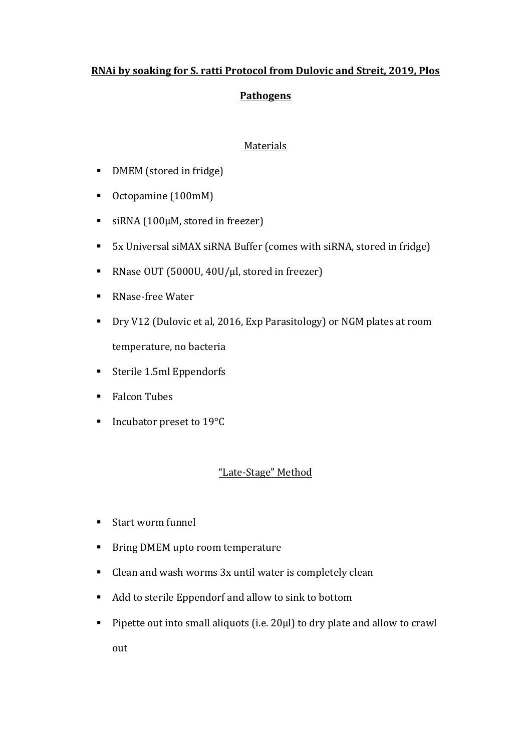### **RNAi by soaking for S. ratti Protocol from Dulovic and Streit, 2019, Plos**

## **Pathogens**

#### Materials

- **•** DMEM (stored in fridge)
- Octopamine (100mM)
- $\blacksquare$  siRNA (100µM, stored in freezer)
- 5x Universal siMAX siRNA Buffer (comes with siRNA, stored in fridge)
- RNase OUT (5000U, 40U/µl, stored in freezer)
- RNase-free Water
- Dry V12 (Dulovic et al, 2016, Exp Parasitology) or NGM plates at room temperature, no bacteria
- Sterile 1.5ml Eppendorfs
- Falcon Tubes
- $\blacksquare$  Incubator preset to 19 $\rm ^{o}C$

# "Late-Stage" Method

- Start worm funnel
- Bring DMEM upto room temperature
- Clean and wash worms 3x until water is completely clean
- Add to sterile Eppendorf and allow to sink to bottom
- **Pipette out into small aliquots (i.e. 20** $\mu$ l) to dry plate and allow to crawl out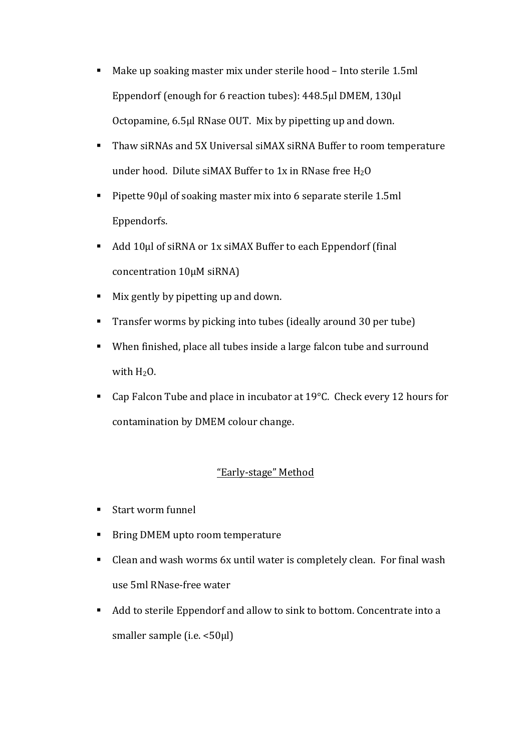- $\blacksquare$  Make up soaking master mix under sterile hood Into sterile 1.5ml Eppendorf (enough for 6 reaction tubes): 448.5μl DMEM, 130μl Octopamine, 6.5µl RNase OUT. Mix by pipetting up and down.
- Thaw siRNAs and 5X Universal siMAX siRNA Buffer to room temperature under hood. Dilute siMAX Buffer to 1x in RNase free  $H_2O$
- **Pipette**  $90\mu$  **of soaking master mix into 6 separate sterile 1.5ml** Eppendorfs.
- $\blacksquare$  Add 10µl of siRNA or 1x siMAX Buffer to each Eppendorf (final concentration 10μM siRNA)
- I Mix gently by pipetting up and down.
- **Transfer worms by picking into tubes (ideally around 30 per tube)**
- When finished, place all tubes inside a large falcon tube and surround with  $H_2O$ .
- Cap Falcon Tube and place in incubator at  $19^{\circ}$ C. Check every 12 hours for contamination by DMEM colour change.

#### "Early-stage" Method

- Start worm funnel
- Bring DMEM upto room temperature
- $\blacksquare$  Clean and wash worms 6x until water is completely clean. For final wash use 5ml RNase-free water
- Add to sterile Eppendorf and allow to sink to bottom. Concentrate into a smaller sample  $(i.e. < 50 \mu l)$